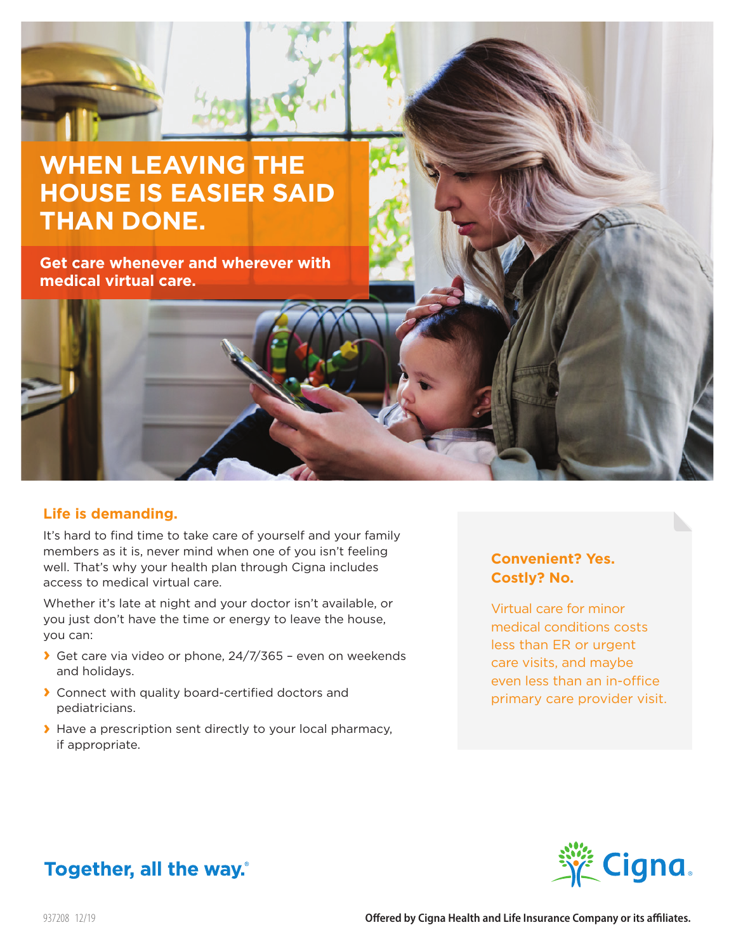# **WHEN LEAVING THE HOUSE IS EASIER SAID THAN DONE.**

**Get care whenever and wherever with medical virtual care.**

### **Life is demanding.**

It's hard to find time to take care of yourself and your family members as it is, never mind when one of you isn't feeling well. That's why your health plan through Cigna includes access to medical virtual care.

Whether it's late at night and your doctor isn't available, or you just don't have the time or energy to leave the house, you can:

- **›** Get care via video or phone, 24/7/365 even on weekends and holidays.
- **›** Connect with quality board-certified doctors and pediatricians.
- **›** Have a prescription sent directly to your local pharmacy, if appropriate.

### **Convenient? Yes. Costly? No.**

Virtual care for minor medical conditions costs less than ER or urgent care visits, and maybe even less than an in-office primary care provider visit.



## Together, all the way.